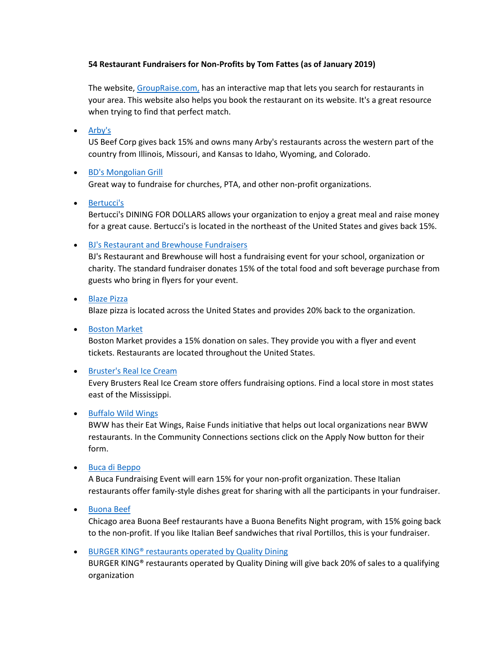## **54 Restaurant Fundraisers for Non-Profits by Tom Fattes (as of January 2019)**

The website, [GroupRaise.com,](http://www.groupraise.com/) has an interactive map that lets you search for restaurants in your area. This website also helps you book the restaurant on its website. It's a great resource when trying to find that perfect match.

• [Arby's](http://www.usbeefcorp.com/giving-back/#benefit)

US Beef Corp gives back 15% and owns many Arby's restaurants across the western part of the country from Illinois, Missouri, and Kansas to Idaho, Wyoming, and Colorado.

# [BD's Mongolian Grill](http://www.gomongo.com/community/fundraising/)

Great way to fundraise for churches, PTA, and other non-profit organizations.

[Bertucci's](http://www.bertuccis.com/dining-dollars-fundraising)

Bertucci's DINING FOR DOLLARS allows your organization to enjoy a great meal and raise money for a great cause. Bertucci's is located in the northeast of the United States and gives back 15%.

[BJ's Restaurant and Brewhouse Fundraisers](http://www.bjsbrewhouse.com/kids-and-families/fundraisers)

BJ's Restaurant and Brewhouse will host a fundraising event for your school, organization or charity. The standard fundraiser donates 15% of the total food and soft beverage purchase from guests who bring in flyers for your event.

[Blaze Pizza](http://blazepizza.com/fundraising/)

Blaze pizza is located across the United States and provides 20% back to the organization.

**•** [Boston Market](http://www.bostonmarket.com/community/fundraising/)

Boston Market provides a 15% donation on sales. They provide you with a flyer and event tickets. Restaurants are located throughout the United States.

#### • [Bruster's Real Ice Cream](http://brusters.com/fundraising/)

Every Brusters Real Ice Cream store offers fundraising options. Find a local store in most states east of the Mississippi.

#### • [Buffalo Wild Wings](https://www.buffalowildwings.com/en/company/giving/)

BWW has their Eat Wings, Raise Funds initiative that helps out local organizations near BWW restaurants. In the Community Connections sections click on the Apply Now button for their form.

[Buca di Beppo](http://www.bucadibeppo.com/fundraising/)

A Buca Fundraising Event will earn 15% for your non-profit organization. These Italian restaurants offer family-style dishes great for sharing with all the participants in your fundraiser.

**•** [Buona Beef](http://buona.com/fundraising/)

Chicago area Buona Beef restaurants have a Buona Benefits Night program, with 15% going back to the non-profit. If you like Italian Beef sandwiches that rival Portillos, this is your fundraiser.

**BURGER KING®** restaurants operated by Quality Dining

BURGER KING® restaurants operated by Quality Dining will give back 20% of sales to a qualifying organization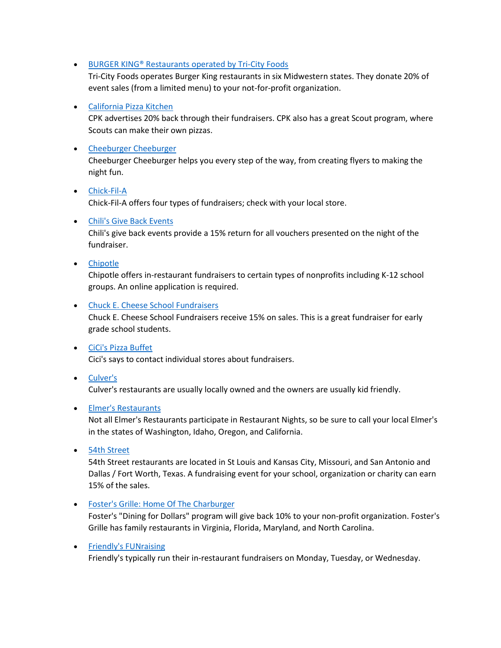● BURGER KING<sup>®</sup> Restaurants operated by Tri-City Foods

Tri-City Foods operates Burger King restaurants in six Midwestern states. They donate 20% of event sales (from a limited menu) to your not-for-profit organization.

## [California Pizza Kitchen](https://www.cpk.com/Company/Fundraisers)

CPK advertises 20% back through their fundraisers. CPK also has a great Scout program, where Scouts can make their own pizzas.

## **•** [Cheeburger Cheeburger](http://cheeburger.com/fundraising.asp)

Cheeburger Cheeburger helps you every step of the way, from creating flyers to making the night fun.

# • [Chick-Fil-A](http://www.chick-fil-a.com/Kids/Local) Chick-Fil-A offers four types of fundraisers; check with your local store.

## [Chili's Give Back Events](http://www.qdi.com/Community/Chilis-Community)

Chili's give back events provide a 15% return for all vouchers presented on the night of the fundraiser.

[Chipotle](http://chipotle.com/email-us#philanthropy)

Chipotle offers in-restaurant fundraisers to certain types of nonprofits including K-12 school groups. An online application is required.

## [Chuck E. Cheese School Fundraisers](http://www.chuckecheese.com/events/fundraising)

Chuck E. Cheese School Fundraisers receive 15% on sales. This is a great fundraiser for early grade school students.

# [CiCi's Pizza Buffet](http://www.cicis.com/faq)

Cici's says to contact individual stores about fundraisers.

# [Culver's](http://www.culvers.com/)

Culver's restaurants are usually locally owned and the owners are usually kid friendly.

#### • [Elmer's Restaurants](http://eatatelmers.com/category/in-the-community/)

Not all Elmer's Restaurants participate in Restaurant Nights, so be sure to call your local Elmer's in the states of Washington, Idaho, Oregon, and California.

[54th Street](http://www.54thstreetgrill.com/fundraisers.html)

54th Street restaurants are located in St Louis and Kansas City, Missouri, and San Antonio and Dallas / Fort Worth, Texas. A fundraising event for your school, organization or charity can earn 15% of the sales.

[Foster's Grille: Home Of The Charburger](https://www.fostersgrille.com/community/)

Foster's "Dining for Dollars" program will give back 10% to your non-profit organization. Foster's Grille has family restaurants in Virginia, Florida, Maryland, and North Carolina.

# • [Friendly's FUNraising](https://www.friendlysrestaurants.com/business/funraising/)

Friendly's typically run their in-restaurant fundraisers on Monday, Tuesday, or Wednesday.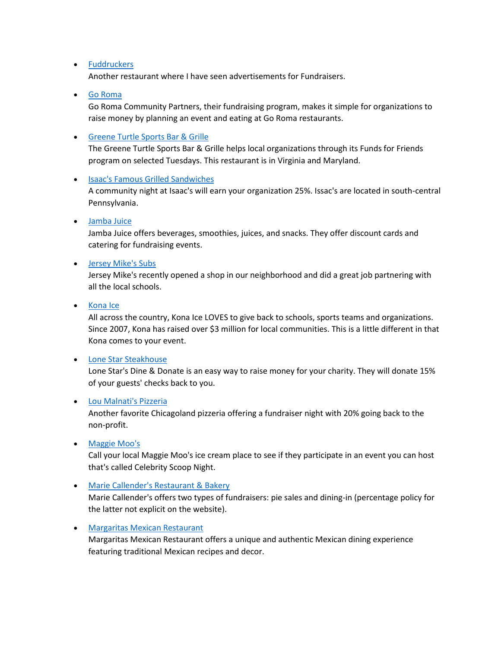### • [Fuddruckers](http://www.fuddruckers.com/)

Another restaurant where I have seen advertisements for Fundraisers.

## [Go Roma](http://www.goroma.net/content/pdf/goroma_community.pdf)

Go Roma Community Partners, their fundraising program, makes it simple for organizations to raise money by planning an event and eating at Go Roma restaurants.

#### [Greene Turtle Sports Bar & Grille](http://thegreeneturtle.com/fundraising-community-support)

The Greene Turtle Sports Bar & Grille helps local organizations through its Funds for Friends program on selected Tuesdays. This restaurant is in Virginia and Maryland.

#### [Isaac's Famous Grilled Sandwiches](http://www.isaacsdeli.com/fundraising.asp)

A community night at Isaac's will earn your organization 25%. Issac's are located in south-central Pennsylvania.

#### [Jamba Juice](http://www.jambajuice.com/partnerships/fundraising)

Jamba Juice offers beverages, smoothies, juices, and snacks. They offer discount cards and catering for fundraising events.

#### [Jersey Mike's Subs](http://www.jerseymikes.com/news/giving.php)

Jersey Mike's recently opened a shop in our neighborhood and did a great job partnering with all the local schools.

[Kona Ice](http://www.kona-ice.com/giveback-programs/)

All across the country, Kona Ice LOVES to give back to schools, sports teams and organizations. Since 2007, Kona has raised over \$3 million for local communities. This is a little different in that Kona comes to your event.

#### [Lone Star Steakhouse](http://www.lonestarsteakhouse.com/DineDonate)

Lone Star's Dine & Donate is an easy way to raise money for your charity. They will donate 15% of your guests' checks back to you.

#### [Lou Malnati's Pizzeria](http://www.loumalnatis.com/fundraising)

Another favorite Chicagoland pizzeria offering a fundraiser night with 20% going back to the non-profit.

#### • [Maggie Moo's](http://www.maggiemoos.com/)

Call your local Maggie Moo's ice cream place to see if they participate in an event you can host that's called Celebrity Scoop Night.

#### • [Marie Callender's Restaurant & Bakery](http://www.mariecallenders.com/community-fundraising)

Marie Callender's offers two types of fundraisers: pie sales and dining-in (percentage policy for the latter not explicit on the website).

#### [Margaritas Mexican Restaurant](https://www.margs.com/)

Margaritas Mexican Restaurant offers a unique and authentic Mexican dining experience featuring traditional Mexican recipes and decor.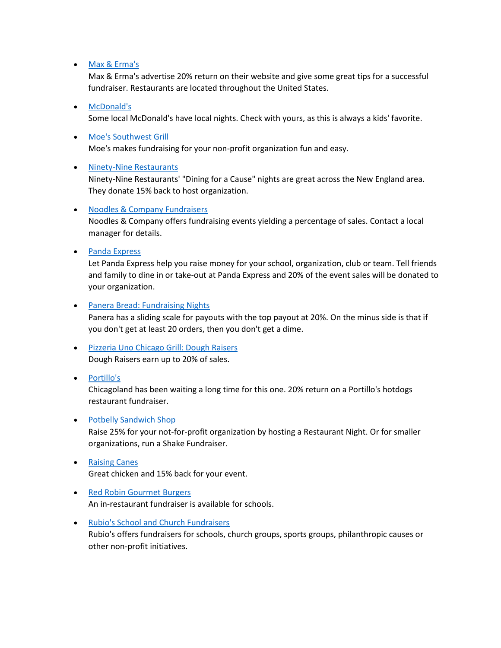### [Max & Erma's](https://www.maxandermas.com/donations-%e2%80%a2-fundraising/)

Max & Erma's advertise 20% return on their website and give some great tips for a successful fundraiser. Restaurants are located throughout the United States.

### [McDonald's](http://www.mcdonalds.com/)

Some local McDonald's have local nights. Check with yours, as this is always a kids' favorite.

#### [Moe's Southwest Grill](http://www.moes.com/about-moes/community/)

Moe's makes fundraising for your non-profit organization fun and easy.

## • [Ninety-Nine Restaurants](https://www.99restaurants.com/community/dining-for-a-cause/)

Ninety-Nine Restaurants' "Dining for a Cause" nights are great across the New England area. They donate 15% back to host organization.

## [Noodles & Company Fundraisers](http://www.noodles.com/)

Noodles & Company offers fundraising events yielding a percentage of sales. Contact a local manager for details.

## • [Panda Express](http://www.pandaexpress.com/Fundraising)

Let Panda Express help you raise money for your school, organization, club or team. Tell friends and family to dine in or take-out at Panda Express and 20% of the event sales will be donated to your organization.

## [Panera Bread: Fundraising Nights](https://www.panerabread.com/en-us/company/fundraising-night.html)

Panera has a sliding scale for payouts with the top payout at 20%. On the minus side is that if you don't get at least 20 orders, then you don't get a dime.

- [Pizzeria Uno Chicago Grill: Dough Raisers](http://www.unos.com/raisers.php) Dough Raisers earn up to 20% of sales.
- [Portillo's](http://www.portillos.com/good/)

Chicagoland has been waiting a long time for this one. 20% return on a Portillo's hotdogs restaurant fundraiser.

#### [Potbelly Sandwich Shop](http://www.potbelly.com/Company/FundraisingAndDonations.aspx)

Raise 25% for your not-for-profit organization by hosting a Restaurant Night. Or for smaller organizations, run a Shake Fundraiser.

- **•** [Raising Canes](https://www.raisingcanes.com/canes-and-your-community) Great chicken and 15% back for your event.
- [Red Robin Gourmet Burgers](https://www.redrobin.com/about) An in-restaurant fundraiser is available for schools.
- [Rubio's School and Church Fundraisers](https://www.rubios.com/fundraisers/)

Rubio's offers fundraisers for schools, church groups, sports groups, philanthropic causes or other non-profit initiatives.